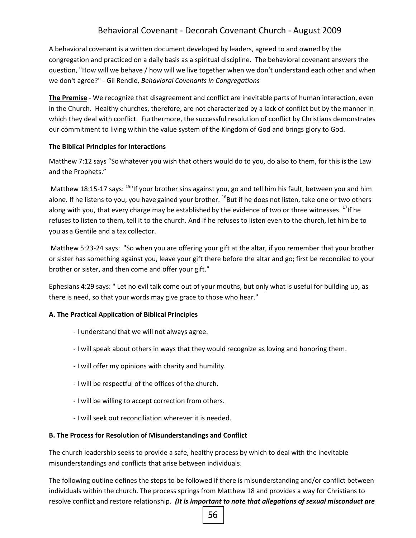# Behavioral Covenant - Decorah Covenant Church - August 2009

A behavioral covenant is a written document developed by leaders, agreed to and owned by the congregation and practiced on a daily basis as a spiritual discipline. The behavioral covenant answers the question, "How will we behave / how will we live together when we don't understand each other and when we don't agree?" - Gil Rendle, *Behavioral Covenants in Congregations*

**The Premise** - We recognize that disagreement and conflict are inevitable parts of human interaction, even in the Church. Healthy churches, therefore, are not characterized by a lack of conflict but by the manner in which they deal with conflict. Furthermore, the successful resolution of conflict by Christians demonstrates our commitment to living within the value system of the Kingdom of God and brings glory to God.

#### **The Biblical Principles for Interactions**

Matthew 7:12 says "So whatever you wish that others would do to you, do also to them, for this isthe Law and the Prophets."

Matthew 18:15-17 says: <sup>15</sup>"If your brother sins against you, go and tell him his fault, between you and him alone. If he listens to you, you have gained your brother. <sup>16</sup>But if he does not listen, take one or two others along with you, that every charge may be established by the evidence of two or three witnesses.  $^{17}$ If he refuses to listen to them, tell it to the church. And if he refuses to listen even to the church, let him be to you as a Gentile and a tax collector.

Matthew 5:23-24 says: "So when you are offering your gift at the altar, if you remember that your brother or sister has something against you, leave your gift there before the altar and go; first be reconciled to your brother or sister, and then come and offer your gift."

Ephesians 4:29 says: " Let no evil talk come out of your mouths, but only what is useful for building up, as there is need, so that your words may give grace to those who hear."

## **A. The Practical Application of Biblical Principles**

- I understand that we will not always agree.
- I will speak about others in ways that they would recognize as loving and honoring them.
- I will offer my opinions with charity and humility.
- I will be respectful of the offices of the church.
- I will be willing to accept correction from others.
- I will seek out reconciliation wherever it is needed.

#### **B. The Process for Resolution of Misunderstandings and Conflict**

The church leadership seeks to provide a safe, healthy process by which to deal with the inevitable misunderstandings and conflicts that arise between individuals.

The following outline defines the steps to be followed if there is misunderstanding and/or conflict between individuals within the church. The process springs from Matthew 18 and provides a way for Christians to resolve conflict and restore relationship. *(It is important to note that allegations of sexual misconduct are*